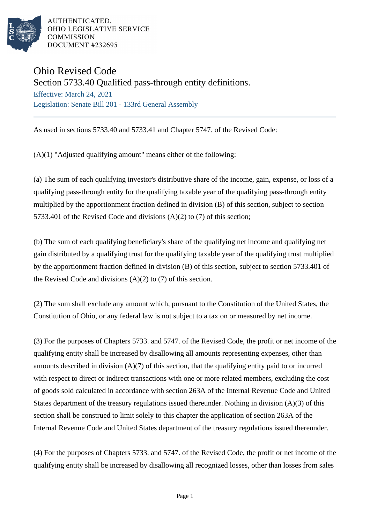

# Ohio Revised Code

Section 5733.40 Qualified pass-through entity definitions.

Effective: March 24, 2021 Legislation: Senate Bill 201 - 133rd General Assembly

As used in sections 5733.40 and 5733.41 and Chapter 5747. of the Revised Code:

 $(A)(1)$  "Adjusted qualifying amount" means either of the following:

(a) The sum of each qualifying investor's distributive share of the income, gain, expense, or loss of a qualifying pass-through entity for the qualifying taxable year of the qualifying pass-through entity multiplied by the apportionment fraction defined in division (B) of this section, subject to section 5733.401 of the Revised Code and divisions (A)(2) to (7) of this section;

(b) The sum of each qualifying beneficiary's share of the qualifying net income and qualifying net gain distributed by a qualifying trust for the qualifying taxable year of the qualifying trust multiplied by the apportionment fraction defined in division (B) of this section, subject to section 5733.401 of the Revised Code and divisions (A)(2) to (7) of this section.

(2) The sum shall exclude any amount which, pursuant to the Constitution of the United States, the Constitution of Ohio, or any federal law is not subject to a tax on or measured by net income.

(3) For the purposes of Chapters 5733. and 5747. of the Revised Code, the profit or net income of the qualifying entity shall be increased by disallowing all amounts representing expenses, other than amounts described in division  $(A)(7)$  of this section, that the qualifying entity paid to or incurred with respect to direct or indirect transactions with one or more related members, excluding the cost of goods sold calculated in accordance with section 263A of the Internal Revenue Code and United States department of the treasury regulations issued thereunder. Nothing in division (A)(3) of this section shall be construed to limit solely to this chapter the application of section 263A of the Internal Revenue Code and United States department of the treasury regulations issued thereunder.

(4) For the purposes of Chapters 5733. and 5747. of the Revised Code, the profit or net income of the qualifying entity shall be increased by disallowing all recognized losses, other than losses from sales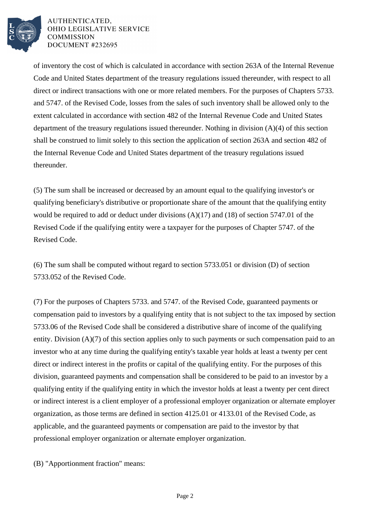

of inventory the cost of which is calculated in accordance with section 263A of the Internal Revenue Code and United States department of the treasury regulations issued thereunder, with respect to all direct or indirect transactions with one or more related members. For the purposes of Chapters 5733. and 5747. of the Revised Code, losses from the sales of such inventory shall be allowed only to the extent calculated in accordance with section 482 of the Internal Revenue Code and United States department of the treasury regulations issued thereunder. Nothing in division (A)(4) of this section shall be construed to limit solely to this section the application of section 263A and section 482 of the Internal Revenue Code and United States department of the treasury regulations issued thereunder.

(5) The sum shall be increased or decreased by an amount equal to the qualifying investor's or qualifying beneficiary's distributive or proportionate share of the amount that the qualifying entity would be required to add or deduct under divisions (A)(17) and (18) of section 5747.01 of the Revised Code if the qualifying entity were a taxpayer for the purposes of Chapter 5747. of the Revised Code.

(6) The sum shall be computed without regard to section 5733.051 or division (D) of section 5733.052 of the Revised Code.

(7) For the purposes of Chapters 5733. and 5747. of the Revised Code, guaranteed payments or compensation paid to investors by a qualifying entity that is not subject to the tax imposed by section 5733.06 of the Revised Code shall be considered a distributive share of income of the qualifying entity. Division (A)(7) of this section applies only to such payments or such compensation paid to an investor who at any time during the qualifying entity's taxable year holds at least a twenty per cent direct or indirect interest in the profits or capital of the qualifying entity. For the purposes of this division, guaranteed payments and compensation shall be considered to be paid to an investor by a qualifying entity if the qualifying entity in which the investor holds at least a twenty per cent direct or indirect interest is a client employer of a professional employer organization or alternate employer organization, as those terms are defined in section 4125.01 or 4133.01 of the Revised Code, as applicable, and the guaranteed payments or compensation are paid to the investor by that professional employer organization or alternate employer organization.

(B) "Apportionment fraction" means: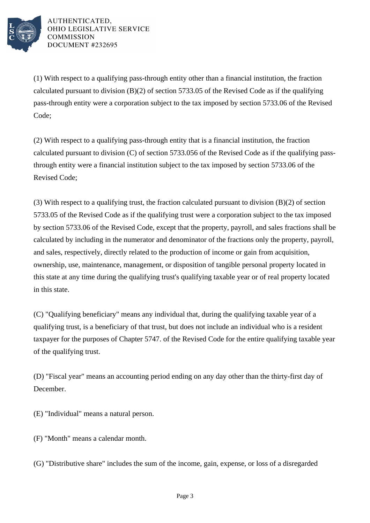

(1) With respect to a qualifying pass-through entity other than a financial institution, the fraction calculated pursuant to division (B)(2) of section 5733.05 of the Revised Code as if the qualifying pass-through entity were a corporation subject to the tax imposed by section 5733.06 of the Revised Code;

(2) With respect to a qualifying pass-through entity that is a financial institution, the fraction calculated pursuant to division (C) of section 5733.056 of the Revised Code as if the qualifying passthrough entity were a financial institution subject to the tax imposed by section 5733.06 of the Revised Code;

(3) With respect to a qualifying trust, the fraction calculated pursuant to division (B)(2) of section 5733.05 of the Revised Code as if the qualifying trust were a corporation subject to the tax imposed by section 5733.06 of the Revised Code, except that the property, payroll, and sales fractions shall be calculated by including in the numerator and denominator of the fractions only the property, payroll, and sales, respectively, directly related to the production of income or gain from acquisition, ownership, use, maintenance, management, or disposition of tangible personal property located in this state at any time during the qualifying trust's qualifying taxable year or of real property located in this state.

(C) "Qualifying beneficiary" means any individual that, during the qualifying taxable year of a qualifying trust, is a beneficiary of that trust, but does not include an individual who is a resident taxpayer for the purposes of Chapter 5747. of the Revised Code for the entire qualifying taxable year of the qualifying trust.

(D) "Fiscal year" means an accounting period ending on any day other than the thirty-first day of December.

(E) "Individual" means a natural person.

- (F) "Month" means a calendar month.
- (G) "Distributive share" includes the sum of the income, gain, expense, or loss of a disregarded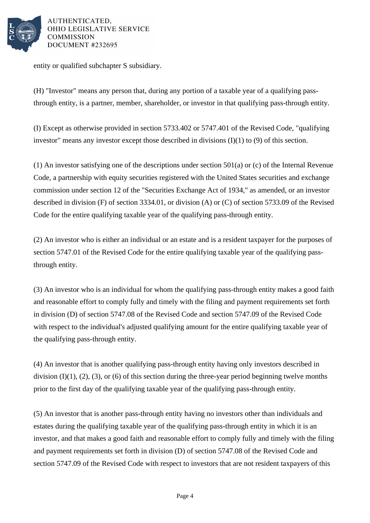

entity or qualified subchapter S subsidiary.

(H) "Investor" means any person that, during any portion of a taxable year of a qualifying passthrough entity, is a partner, member, shareholder, or investor in that qualifying pass-through entity.

(I) Except as otherwise provided in section 5733.402 or 5747.401 of the Revised Code, "qualifying investor" means any investor except those described in divisions (I)(1) to (9) of this section.

(1) An investor satisfying one of the descriptions under section 501(a) or (c) of the Internal Revenue Code, a partnership with equity securities registered with the United States securities and exchange commission under section 12 of the "Securities Exchange Act of 1934," as amended, or an investor described in division (F) of section 3334.01, or division (A) or (C) of section 5733.09 of the Revised Code for the entire qualifying taxable year of the qualifying pass-through entity.

(2) An investor who is either an individual or an estate and is a resident taxpayer for the purposes of section 5747.01 of the Revised Code for the entire qualifying taxable year of the qualifying passthrough entity.

(3) An investor who is an individual for whom the qualifying pass-through entity makes a good faith and reasonable effort to comply fully and timely with the filing and payment requirements set forth in division (D) of section 5747.08 of the Revised Code and section 5747.09 of the Revised Code with respect to the individual's adjusted qualifying amount for the entire qualifying taxable year of the qualifying pass-through entity.

(4) An investor that is another qualifying pass-through entity having only investors described in division  $(I)(1)$ ,  $(2)$ ,  $(3)$ , or  $(6)$  of this section during the three-year period beginning twelve months prior to the first day of the qualifying taxable year of the qualifying pass-through entity.

(5) An investor that is another pass-through entity having no investors other than individuals and estates during the qualifying taxable year of the qualifying pass-through entity in which it is an investor, and that makes a good faith and reasonable effort to comply fully and timely with the filing and payment requirements set forth in division (D) of section 5747.08 of the Revised Code and section 5747.09 of the Revised Code with respect to investors that are not resident taxpayers of this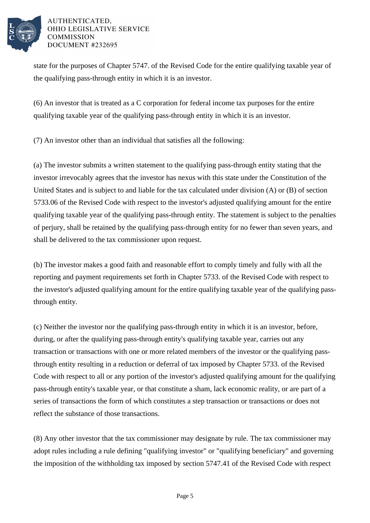

state for the purposes of Chapter 5747. of the Revised Code for the entire qualifying taxable year of the qualifying pass-through entity in which it is an investor.

(6) An investor that is treated as a C corporation for federal income tax purposes for the entire qualifying taxable year of the qualifying pass-through entity in which it is an investor.

(7) An investor other than an individual that satisfies all the following:

(a) The investor submits a written statement to the qualifying pass-through entity stating that the investor irrevocably agrees that the investor has nexus with this state under the Constitution of the United States and is subject to and liable for the tax calculated under division (A) or (B) of section 5733.06 of the Revised Code with respect to the investor's adjusted qualifying amount for the entire qualifying taxable year of the qualifying pass-through entity. The statement is subject to the penalties of perjury, shall be retained by the qualifying pass-through entity for no fewer than seven years, and shall be delivered to the tax commissioner upon request.

(b) The investor makes a good faith and reasonable effort to comply timely and fully with all the reporting and payment requirements set forth in Chapter 5733. of the Revised Code with respect to the investor's adjusted qualifying amount for the entire qualifying taxable year of the qualifying passthrough entity.

(c) Neither the investor nor the qualifying pass-through entity in which it is an investor, before, during, or after the qualifying pass-through entity's qualifying taxable year, carries out any transaction or transactions with one or more related members of the investor or the qualifying passthrough entity resulting in a reduction or deferral of tax imposed by Chapter 5733. of the Revised Code with respect to all or any portion of the investor's adjusted qualifying amount for the qualifying pass-through entity's taxable year, or that constitute a sham, lack economic reality, or are part of a series of transactions the form of which constitutes a step transaction or transactions or does not reflect the substance of those transactions.

(8) Any other investor that the tax commissioner may designate by rule. The tax commissioner may adopt rules including a rule defining "qualifying investor" or "qualifying beneficiary" and governing the imposition of the withholding tax imposed by section 5747.41 of the Revised Code with respect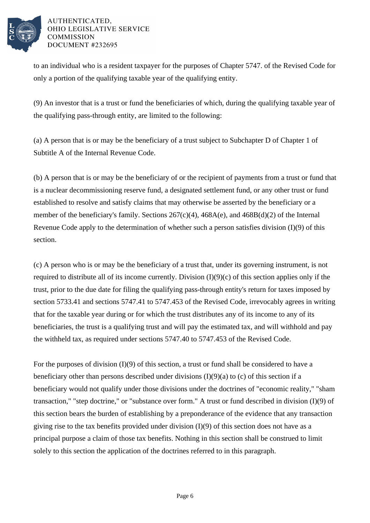

to an individual who is a resident taxpayer for the purposes of Chapter 5747. of the Revised Code for only a portion of the qualifying taxable year of the qualifying entity.

(9) An investor that is a trust or fund the beneficiaries of which, during the qualifying taxable year of the qualifying pass-through entity, are limited to the following:

(a) A person that is or may be the beneficiary of a trust subject to Subchapter D of Chapter 1 of Subtitle A of the Internal Revenue Code.

(b) A person that is or may be the beneficiary of or the recipient of payments from a trust or fund that is a nuclear decommissioning reserve fund, a designated settlement fund, or any other trust or fund established to resolve and satisfy claims that may otherwise be asserted by the beneficiary or a member of the beneficiary's family. Sections 267(c)(4), 468A(e), and 468B(d)(2) of the Internal Revenue Code apply to the determination of whether such a person satisfies division (I)(9) of this section.

(c) A person who is or may be the beneficiary of a trust that, under its governing instrument, is not required to distribute all of its income currently. Division  $(I)(9)(c)$  of this section applies only if the trust, prior to the due date for filing the qualifying pass-through entity's return for taxes imposed by section 5733.41 and sections 5747.41 to 5747.453 of the Revised Code, irrevocably agrees in writing that for the taxable year during or for which the trust distributes any of its income to any of its beneficiaries, the trust is a qualifying trust and will pay the estimated tax, and will withhold and pay the withheld tax, as required under sections 5747.40 to 5747.453 of the Revised Code.

For the purposes of division (I)(9) of this section, a trust or fund shall be considered to have a beneficiary other than persons described under divisions  $(I)(9)(a)$  to (c) of this section if a beneficiary would not qualify under those divisions under the doctrines of "economic reality," "sham transaction," "step doctrine," or "substance over form." A trust or fund described in division (I)(9) of this section bears the burden of establishing by a preponderance of the evidence that any transaction giving rise to the tax benefits provided under division (I)(9) of this section does not have as a principal purpose a claim of those tax benefits. Nothing in this section shall be construed to limit solely to this section the application of the doctrines referred to in this paragraph.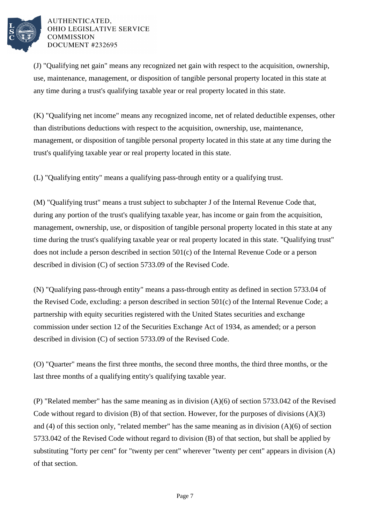

(J) "Qualifying net gain" means any recognized net gain with respect to the acquisition, ownership, use, maintenance, management, or disposition of tangible personal property located in this state at any time during a trust's qualifying taxable year or real property located in this state.

(K) "Qualifying net income" means any recognized income, net of related deductible expenses, other than distributions deductions with respect to the acquisition, ownership, use, maintenance, management, or disposition of tangible personal property located in this state at any time during the trust's qualifying taxable year or real property located in this state.

(L) "Qualifying entity" means a qualifying pass-through entity or a qualifying trust.

(M) "Qualifying trust" means a trust subject to subchapter J of the Internal Revenue Code that, during any portion of the trust's qualifying taxable year, has income or gain from the acquisition, management, ownership, use, or disposition of tangible personal property located in this state at any time during the trust's qualifying taxable year or real property located in this state. "Qualifying trust" does not include a person described in section 501(c) of the Internal Revenue Code or a person described in division (C) of section 5733.09 of the Revised Code.

(N) "Qualifying pass-through entity" means a pass-through entity as defined in section 5733.04 of the Revised Code, excluding: a person described in section 501(c) of the Internal Revenue Code; a partnership with equity securities registered with the United States securities and exchange commission under section 12 of the Securities Exchange Act of 1934, as amended; or a person described in division (C) of section 5733.09 of the Revised Code.

(O) "Quarter" means the first three months, the second three months, the third three months, or the last three months of a qualifying entity's qualifying taxable year.

(P) "Related member" has the same meaning as in division (A)(6) of section 5733.042 of the Revised Code without regard to division (B) of that section. However, for the purposes of divisions (A)(3) and (4) of this section only, "related member" has the same meaning as in division (A)(6) of section 5733.042 of the Revised Code without regard to division (B) of that section, but shall be applied by substituting "forty per cent" for "twenty per cent" wherever "twenty per cent" appears in division (A) of that section.